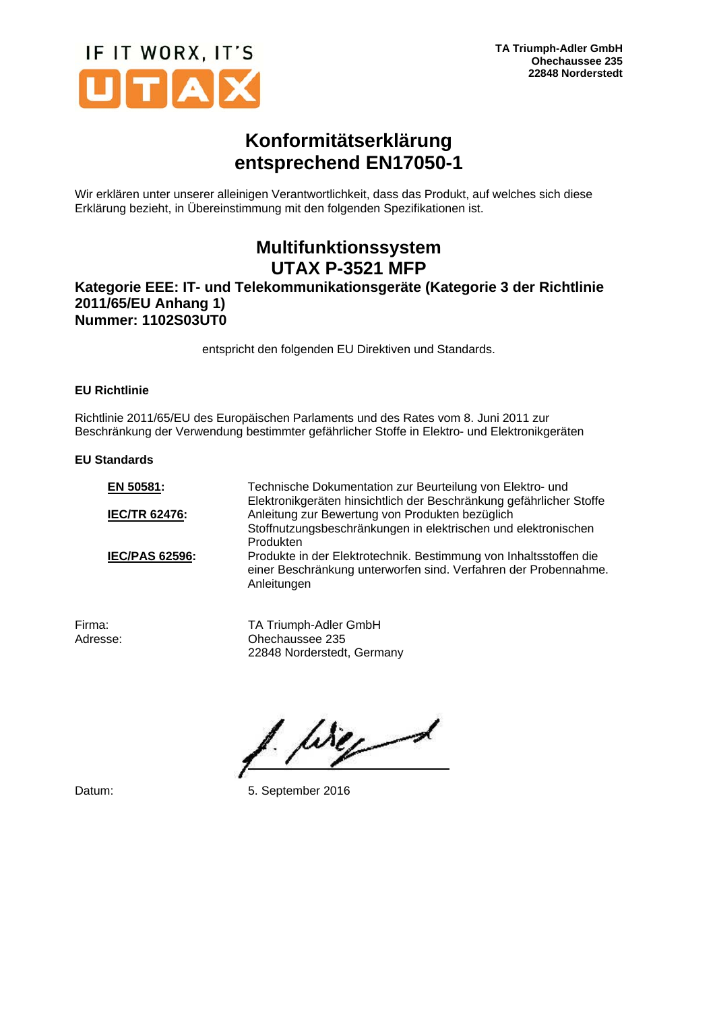

# **Konformitätserklärung entsprechend EN17050-1**

Wir erklären unter unserer alleinigen Verantwortlichkeit, dass das Produkt, auf welches sich diese Erklärung bezieht, in Übereinstimmung mit den folgenden Spezifikationen ist.

## **Multifunktionssystem UTAX P-3521 MFP**

## **Kategorie EEE: IT- und Telekommunikationsgeräte (Kategorie 3 der Richtlinie 2011/65/EU Anhang 1) Nummer: 1102S03UT0**

entspricht den folgenden EU Direktiven und Standards.

### **EU Richtlinie**

Richtlinie 2011/65/EU des Europäischen Parlaments und des Rates vom 8. Juni 2011 zur Beschränkung der Verwendung bestimmter gefährlicher Stoffe in Elektro- und Elektronikgeräten

#### **EU Standards**

| EN 50581:             | Technische Dokumentation zur Beurteilung von Elektro- und<br>Elektronikgeräten hinsichtlich der Beschränkung gefährlicher Stoffe                    |
|-----------------------|-----------------------------------------------------------------------------------------------------------------------------------------------------|
| <b>IEC/TR 62476:</b>  | Anleitung zur Bewertung von Produkten bezüglich                                                                                                     |
|                       | Stoffnutzungsbeschränkungen in elektrischen und elektronischen                                                                                      |
|                       | Produkten                                                                                                                                           |
| <b>IEC/PAS 62596:</b> | Produkte in der Elektrotechnik. Bestimmung von Inhaltsstoffen die<br>einer Beschränkung unterworfen sind. Verfahren der Probennahme.<br>Anleitungen |
|                       |                                                                                                                                                     |

Firma: TA Triumph-Adler GmbH<br>Adresse: Chechaussee 235 Ohechaussee 235 22848 Norderstedt, Germany

Werd

Datum: 5. September 2016